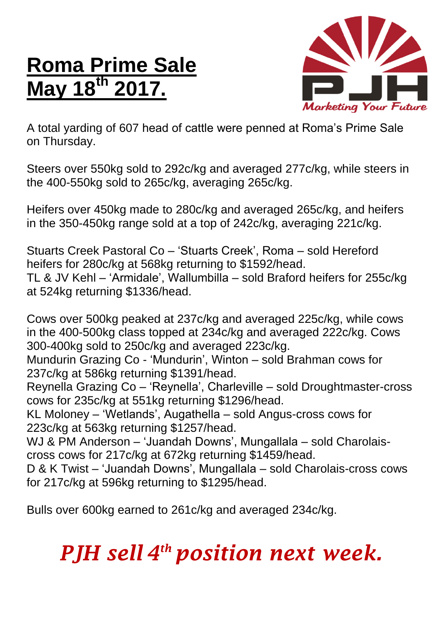## **Roma Prime Sale May 18 th 2017.**



A total yarding of 607 head of cattle were penned at Roma's Prime Sale on Thursday.

Steers over 550kg sold to 292c/kg and averaged 277c/kg, while steers in the 400-550kg sold to 265c/kg, averaging 265c/kg.

Heifers over 450kg made to 280c/kg and averaged 265c/kg, and heifers in the 350-450kg range sold at a top of 242c/kg, averaging 221c/kg.

Stuarts Creek Pastoral Co – 'Stuarts Creek', Roma – sold Hereford heifers for 280c/kg at 568kg returning to \$1592/head. TL & JV Kehl – 'Armidale', Wallumbilla – sold Braford heifers for 255c/kg at 524kg returning \$1336/head.

Cows over 500kg peaked at 237c/kg and averaged 225c/kg, while cows in the 400-500kg class topped at 234c/kg and averaged 222c/kg. Cows 300-400kg sold to 250c/kg and averaged 223c/kg.

Mundurin Grazing Co - 'Mundurin', Winton – sold Brahman cows for 237c/kg at 586kg returning \$1391/head.

Reynella Grazing Co – 'Reynella', Charleville – sold Droughtmaster-cross cows for 235c/kg at 551kg returning \$1296/head.

KL Moloney – 'Wetlands', Augathella – sold Angus-cross cows for 223c/kg at 563kg returning \$1257/head.

WJ & PM Anderson – 'Juandah Downs', Mungallala – sold Charolaiscross cows for 217c/kg at 672kg returning \$1459/head.

D & K Twist – 'Juandah Downs', Mungallala – sold Charolais-cross cows for 217c/kg at 596kg returning to \$1295/head.

Bulls over 600kg earned to 261c/kg and averaged 234c/kg.

## *PJH sell 4 th position next week.*